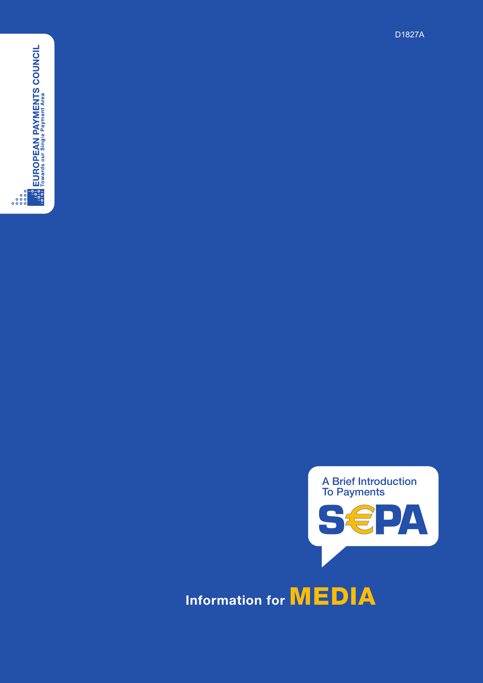



A Brief Introduction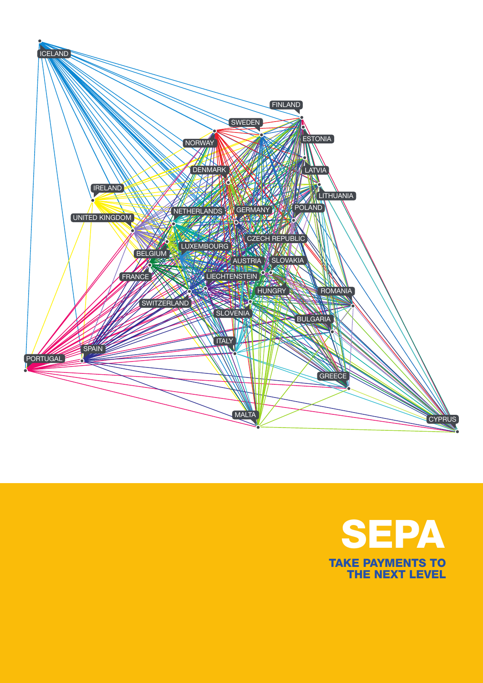

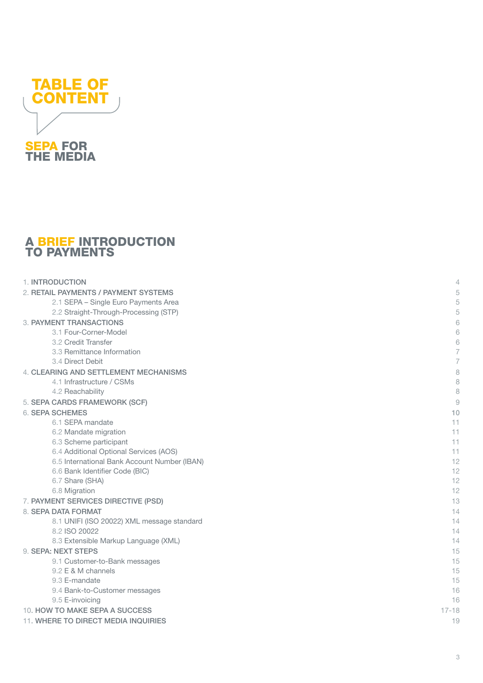

#### **A BRIEF INTRODUCTION** TO PAYMENTS

| 1. INTRODUCTION                              | 4              |
|----------------------------------------------|----------------|
| 2. RETAIL PAYMENTS / PAYMENT SYSTEMS         | 5              |
| 2.1 SEPA - Single Euro Payments Area         | 5              |
| 2.2 Straight-Through-Processing (STP)        | 5              |
| 3. PAYMENT TRANSACTIONS                      | 6              |
| 3.1 Four-Corner-Model                        | 6              |
| 3.2 Credit Transfer                          | 6              |
| 3.3 Remittance Information                   | 7              |
| 3.4 Direct Debit                             | $\overline{7}$ |
| 4. CLEARING AND SETTLEMENT MECHANISMS        | 8              |
| 4.1 Infrastructure / CSMs                    | 8              |
| 4.2 Reachability                             | 8              |
| 5. SEPA CARDS FRAMEWORK (SCF)                | $\overline{9}$ |
| <b>6. SEPA SCHEMES</b>                       | 10             |
| 6.1 SEPA mandate                             | 11             |
| 6.2 Mandate migration                        | 11             |
| 6.3 Scheme participant                       | 11             |
| 6.4 Additional Optional Services (AOS)       | 11             |
| 6.5 International Bank Account Number (IBAN) | 12             |
| 6.6 Bank Identifier Code (BIC)               | 12             |
| 6.7 Share (SHA)                              | 12             |
| 6.8 Migration                                | 12             |
| 7. PAYMENT SERVICES DIRECTIVE (PSD)          | 13             |
| 8. SEPA DATA FORMAT                          | 14             |
| 8.1 UNIFI (ISO 20022) XML message standard   | 14             |
| 8.2 ISO 20022                                | 14             |
| 8.3 Extensible Markup Language (XML)         | 14             |
| 9. SEPA: NEXT STEPS                          | 15             |
| 9.1 Customer-to-Bank messages                | 15             |
| 9.2 E & M channels                           | 15             |
| 9.3 E-mandate                                | 15             |
| 9.4 Bank-to-Customer messages                | 16             |
| 9.5 E-invoicing                              | 16             |
| 10. HOW TO MAKE SEPA A SUCCESS               | $17 - 18$      |
| 11. WHERE TO DIRECT MEDIA INQUIRIES          | 19             |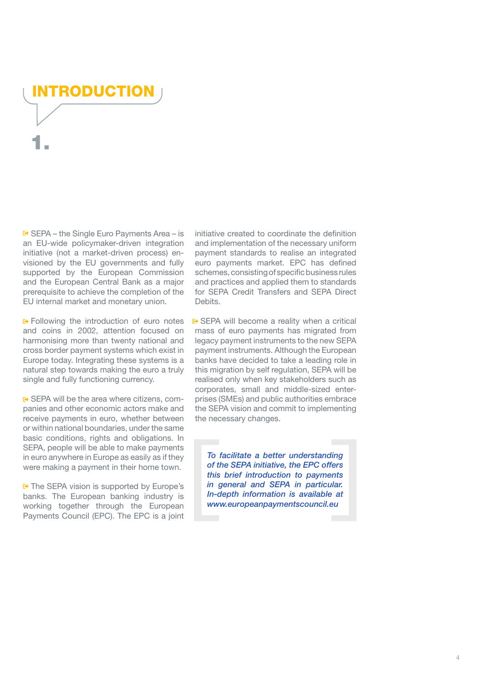<span id="page-3-0"></span>IRODUCTI 1.

■ SEPA – the Single Euro Payments Area – is an EU-wide policymaker-driven integration initiative (not a market-driven process) envisioned by the EU governments and fully supported by the European Commission and the European Central Bank as a major prerequisite to achieve the completion of the EU internal market and monetary union.

**E**> Following the introduction of euro notes and coins in 2002, attention focused on harmonising more than twenty national and cross border payment systems which exist in Europe today. Integrating these systems is a natural step towards making the euro a truly single and fully functioning currency.

**■ SEPA will be the area where citizens, com**panies and other economic actors make and receive payments in euro, whether between or within national boundaries, under the same basic conditions, rights and obligations. In SEPA, people will be able to make payments in euro anywhere in Europe as easily as if they were making a payment in their home town.

 $F$  The SEPA vision is supported by Europe's banks. The European banking industry is working together through the European Payments Council (EPC). The EPC is a joint initiative created to coordinate the definition and implementation of the necessary uniform payment standards to realise an integrated euro payments market. EPC has defined schemes, consisting of specific business rules and practices and applied them to standards for SEPA Credit Transfers and SEPA Direct Debits.

**■** SEPA will become a reality when a critical mass of euro payments has migrated from legacy payment instruments to the new SEPA payment instruments. Although the European banks have decided to take a leading role in this migration by self regulation, SEPA will be realised only when key stakeholders such as corporates, small and middle-sized enterprises (SMEs) and public authorities embrace the SEPA vision and commit to implementing the necessary changes.

*To facilitate a better understanding of the SEPA initiative, the EPC offers this brief introduction to payments in general and SEPA in particular. In-depth information is available at [www.europeanpaymentscouncil.eu](http://www.europeanpaymentscouncil.eu/)*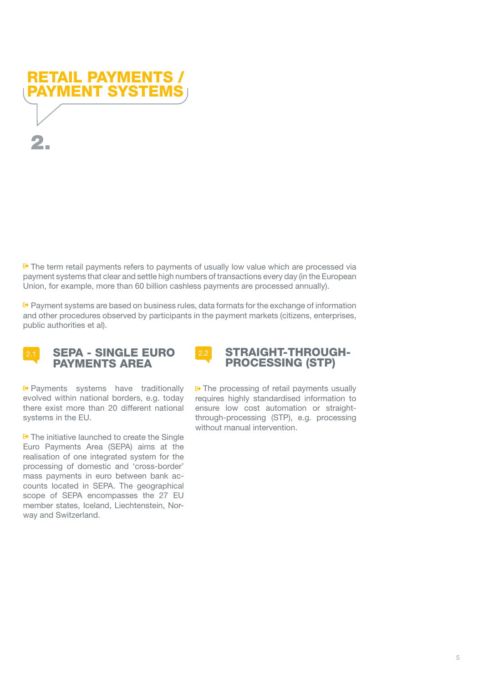<span id="page-4-0"></span>

 $F$  The term retail payments refers to payments of usually low value which are processed via payment systems that clear and settle high numbers of transactions every day (in the European Union, for example, more than 60 billion cashless payments are processed annually).

 $F$  Payment systems are based on business rules, data formats for the exchange of information and other procedures observed by participants in the payment markets (citizens, enterprises, public authorities et al).



#### 2.1 SEPA - SINGLE EURO PAYMENTS AREA

**Payments** systems have traditionally evolved within national borders, e.g. today there exist more than 20 different national systems in the EU.

 $\blacktriangleright$  The initiative launched to create the Single Euro Payments Area (SEPA) aims at the realisation of one integrated system for the processing of domestic and 'cross-border' mass payments in euro between bank accounts located in SEPA. The geographical scope of SEPA encompasses the 27 EU member states, Iceland, Liechtenstein, Norway and Switzerland.



 $\rightarrow$  The processing of retail payments usually requires highly standardised information to ensure low cost automation or straightthrough-processing (STP), e.g. processing without manual intervention.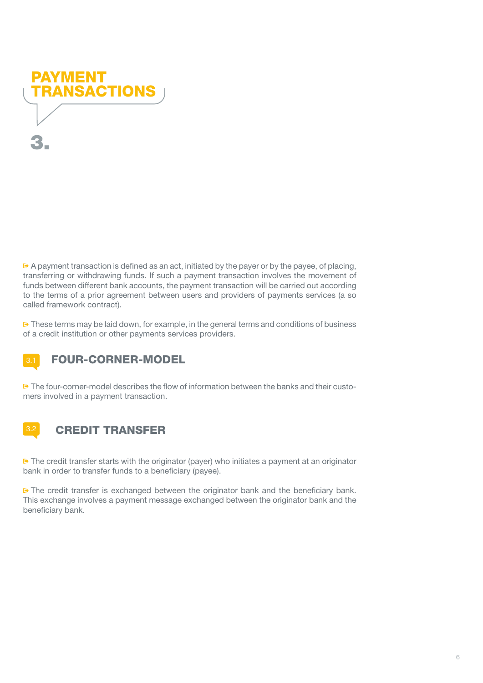<span id="page-5-0"></span>

 $\leftrightarrow$  A payment transaction is defined as an act, initiated by the payer or by the payee, of placing, transferring or withdrawing funds. If such a payment transaction involves the movement of funds between different bank accounts, the payment transaction will be carried out according to the terms of a prior agreement between users and providers of payments services (a so called framework contract).

 $F^*$  These terms may be laid down, for example, in the general terms and conditions of business of a credit institution or other payments services providers.

# **3.1 FOUR-CORNER-MODEL**

The four-corner-model describes the flow of information between the banks and their customers involved in a payment transaction.

# **3.2 CREDIT TRANSFER**

 $\blacktriangleright$  The credit transfer starts with the originator (payer) who initiates a payment at an originator bank in order to transfer funds to a beneficiary (payee).

**□** The credit transfer is exchanged between the originator bank and the beneficiary bank. This exchange involves a payment message exchanged between the originator bank and the beneficiary bank.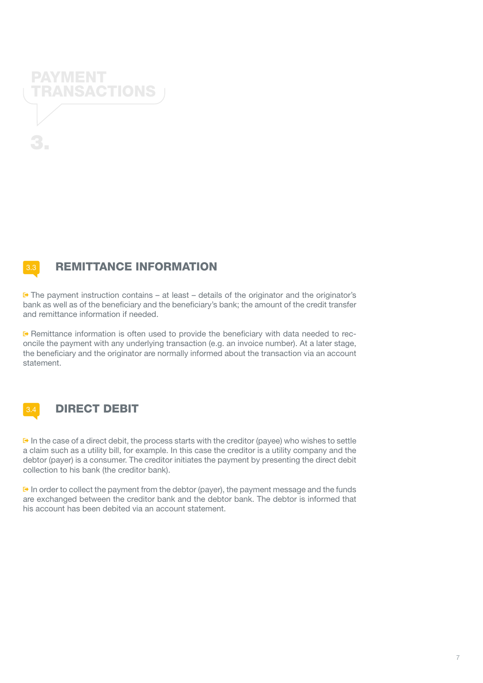<span id="page-6-0"></span>

## **3.3 REMITTANCE INFORMATION**

 $E^*$  The payment instruction contains – at least – details of the originator and the originator's bank as well as of the beneficiary and the beneficiary's bank; the amount of the credit transfer and remittance information if needed.

Remittance information is often used to provide the beneficiary with data needed to reconcile the payment with any underlying transaction (e.g. an invoice number). At a later stage, the beneficiary and the originator are normally informed about the transaction via an account statement.



#### **3.4 DIRECT DEBIT**

 $\overline{P}$  In the case of a direct debit, the process starts with the creditor (payee) who wishes to settle a claim such as a utility bill, for example. In this case the creditor is a utility company and the debtor (payer) is a consumer. The creditor initiates the payment by presenting the direct debit collection to his bank (the creditor bank).

 $\mathbb{F}$  In order to collect the payment from the debtor (payer), the payment message and the funds are exchanged between the creditor bank and the debtor bank. The debtor is informed that his account has been debited via an account statement.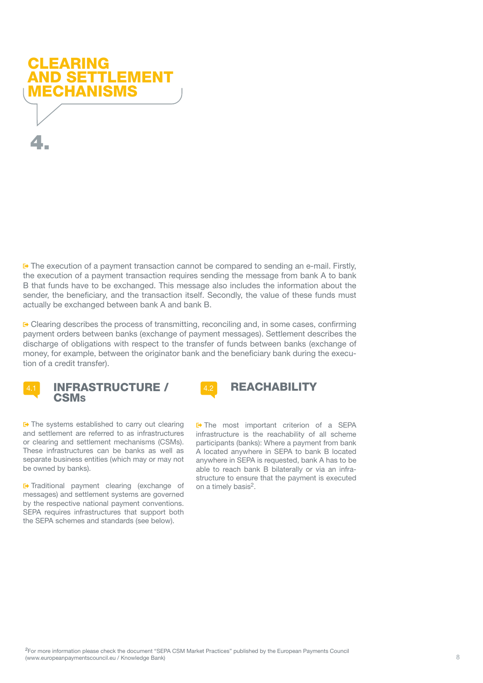<span id="page-7-0"></span>

 $\blacktriangleright$  The execution of a payment transaction cannot be compared to sending an e-mail. Firstly, the execution of a payment transaction requires sending the message from bank A to bank B that funds have to be exchanged. This message also includes the information about the sender, the beneficiary, and the transaction itself. Secondly, the value of these funds must actually be exchanged between bank A and bank B.

 $\blacktriangleright$  Clearing describes the process of transmitting, reconciling and, in some cases, confirming payment orders between banks (exchange of payment messages). Settlement describes the discharge of obligations with respect to the transfer of funds between banks (exchange of money, for example, between the originator bank and the beneficiary bank during the execution of a credit transfer).



4.1 INFRASTRUCTURE / **CSMs** 

 $E$  The systems established to carry out clearing and settlement are referred to as infrastructures or clearing and settlement mechanisms (CSMs). These infrastructures can be banks as well as separate business entities (which may or may not be owned by banks).

**E**> Traditional payment clearing (exchange of messages) and settlement systems are governed by the respective national payment conventions. SEPA requires infrastructures that support both the SEPA schemes and standards (see below).



**□** The most important criterion of a SEPA infrastructure is the reachability of all scheme participants (banks): Where a payment from bank A located anywhere in SEPA to bank B located anywhere in SEPA is requested, bank A has to be able to reach bank B bilaterally or via an infrastructure to ensure that the payment is executed on a timely basis<sup>2</sup>.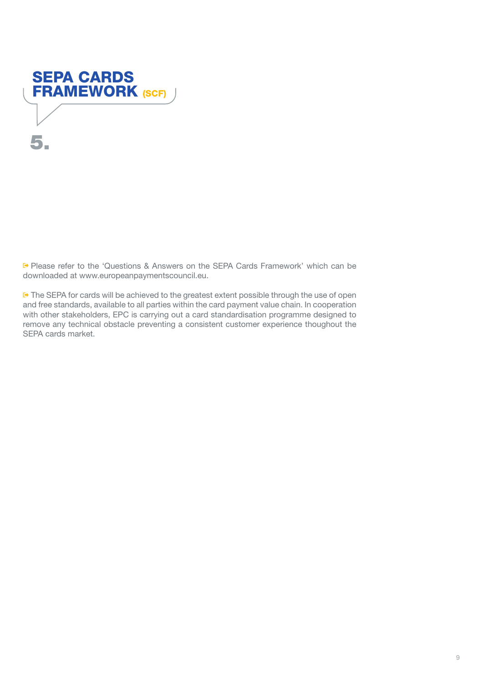<span id="page-8-0"></span>

Please refer to the 'Questions & Answers on the SEPA Cards Framework' which can be downloaded at www.europeanpaymentscouncil.eu.

 $\blacktriangleright$  The SEPA for cards will be achieved to the greatest extent possible through the use of open and free standards, available to all parties within the card payment value chain. In cooperation with other stakeholders, EPC is carrying out a card standardisation programme designed to remove any technical obstacle preventing a consistent customer experience thoughout the SEPA cards market.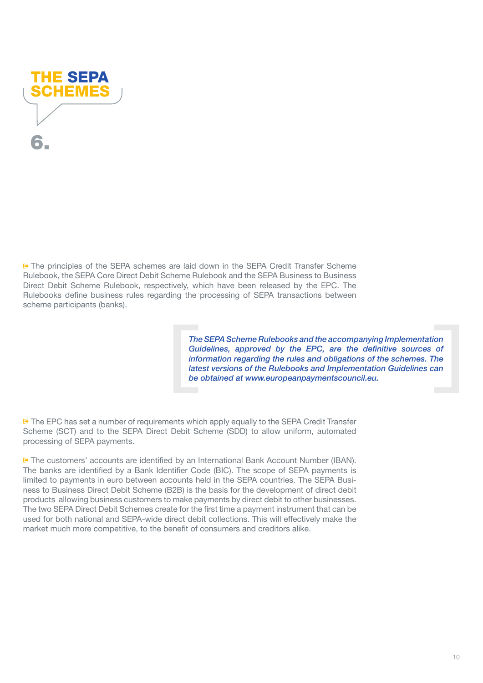<span id="page-9-0"></span>

The principles of the SEPA schemes are laid down in the SEPA Credit Transfer Scheme Rulebook, the SEPA Core Direct Debit Scheme Rulebook and the SEPA Business to Business Direct Debit Scheme Rulebook, respectively, which have been released by the EPC. The Rulebooks define business rules regarding the processing of SEPA transactions between scheme participants (banks).

> *The SEPA Scheme Rulebooks and the accompanying Implementation Guidelines, approved by the EPC, are the definitive sources of information regarding the rules and obligations of the schemes. The latest versions of the Rulebooks and Implementation Guidelines can be obtained at [www.europeanpaymentscouncil.eu.](http://www.europeanpaymentscouncil.eu/)*

■ The EPC has set a number of requirements which apply equally to the SEPA Credit Transfer Scheme (SCT) and to the SEPA Direct Debit Scheme (SDD) to allow uniform, automated processing of SEPA payments.

The customers' accounts are identified by an International Bank Account Number (IBAN). The banks are identified by a Bank Identifier Code (BIC). The scope of SEPA payments is limited to payments in euro between accounts held in the SEPA countries. The SEPA Business to Business Direct Debit Scheme (B2B) is the basis for the development of direct debit products allowing business customers to make payments by direct debit to other businesses. The two SEPA Direct Debit Schemes create for the first time a payment instrument that can be used for both national and SEPA-wide direct debit collections. This will effectively make the market much more competitive, to the benefit of consumers and creditors alike.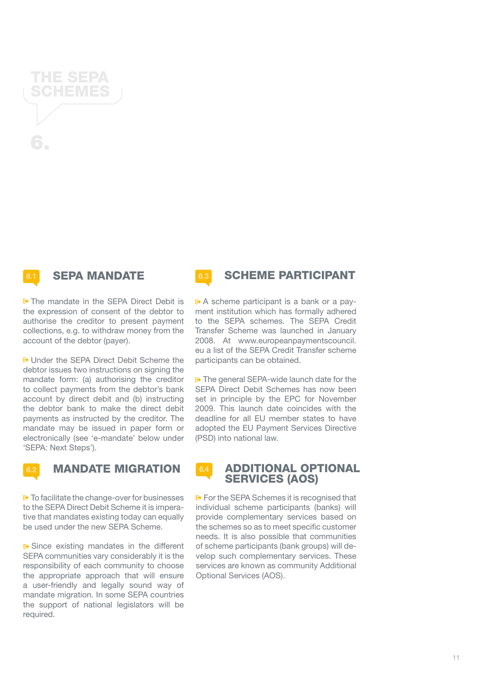**6.1 SEPA MANDATE** 

■ The mandate in the SEPA Direct Debit is the expression of consent of the debtor to authorise the creditor to present payment collections, e.g. to withdraw money from the account of the debtor (payer).

Under the SEPA Direct Debit Scheme the debtor issues two instructions on signing the mandate form: (a) authorising the creditor to collect payments from the debtor's bank account by direct debit and (b) instructing the debtor bank to make the direct debit payments as instructed by the creditor. The mandate may be issued in paper form or electronically (see 'e-mandate' below under 'SEPA: Next Steps').

 $\blacktriangleright$  To facilitate the change-over for businesses to the SEPA Direct Debit Scheme it is imperative that mandates existing today can equally be used under the new SEPA Scheme.

■ Since existing mandates in the different SEPA communities vary considerably it is the responsibility of each community to choose the appropriate approach that will ensure a user-friendly and legally sound way of mandate migration. In some SEPA countries the support of national legislators will be required.

A scheme participant is a bank or a payment institution which has formally adhered to the SEPA schemes. The SEPA Credit Transfer Scheme was launched in January 2008. At www.europeanpaymentscouncil. eu a list of the SEPA Credit Transfer scheme participants can be obtained.

 $\rightarrow$  The general SEPA-wide launch date for the SEPA Direct Debit Schemes has now been set in principle by the EPC for November 2009. This launch date coincides with the deadline for all EU member states to have adopted the EU Payment Services Directive (PSD) into national law.

#### 6.4 ADDITIONAL OPTIONAL SERVICES (AOS)

**■** For the SEPA Schemes it is recognised that individual scheme participants (banks) will provide complementary services based on the schemes so as to meet specific customer needs. It is also possible that communities of scheme participants (bank groups) will develop such complementary services. These services are known as community Additional Optional Services (AOS).



<span id="page-10-0"></span>

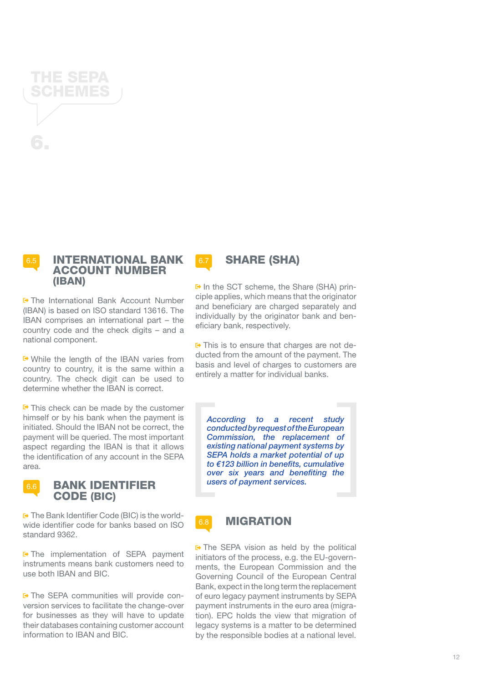#### INTERNATIONAL BANK ACCOUNT NUMBER (IBAN)

<span id="page-11-0"></span>THE SEPA SCHEMES

6.

The International Bank Account Number (IBAN) is based on ISO standard 13616. The IBAN comprises an international part – the country code and the check digits – and a national component.

While the length of the IBAN varies from country to country, it is the same within a country. The check digit can be used to determine whether the IBAN is correct.

 $F$  This check can be made by the customer himself or by his bank when the payment is initiated. Should the IBAN not be correct, the payment will be queried. The most important aspect regarding the IBAN is that it allows the identification of any account in the SEPA area.



BANK IDENTIFIER

CODE (BIC)

6.6

 $\rightarrow$  The implementation of SEPA payment instruments means bank customers need to use both IBAN and BIC.

The SEPA communities will provide conversion services to facilitate the change-over for businesses as they will have to update their databases containing customer account information to IBAN and BIC.

 $\rightarrow$  In the SCT scheme, the Share (SHA) principle applies, which means that the originator and beneficiary are charged separately and individually by the originator bank and beneficiary bank, respectively.

6.7 **SHARE (SHA)** 

 $E$  This is to ensure that charges are not deducted from the amount of the payment. The basis and level of charges to customers are entirely a matter for individual banks.

*According to a recent study conducted by request of the European Commission, the replacement of existing national payment systems by SEPA holds a market potential of up to €123 billion in benefits, cumulative over six years and benefiting the users of payment services.*

### **6.8 MIGRATION**

 $E$  The SEPA vision as held by the political initiators of the process, e.g. the EU-governments, the European Commission and the Governing Council of the European Central Bank, expect in the long term the replacement of euro legacy payment instruments by SEPA payment instruments in the euro area (migration). EPC holds the view that migration of legacy systems is a matter to be determined by the responsible bodies at a national level.

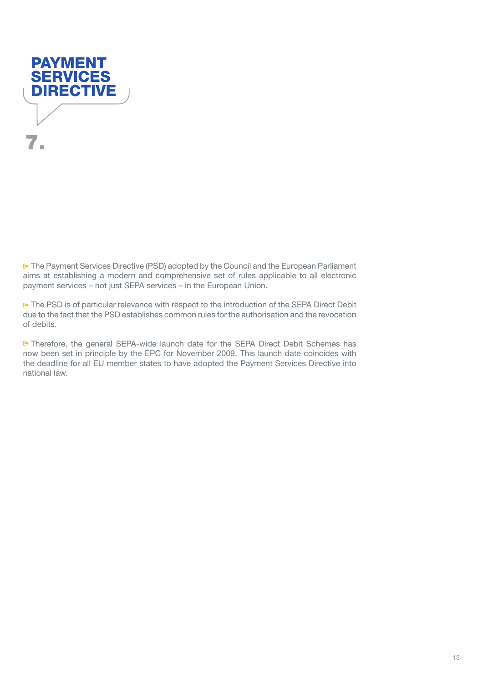<span id="page-12-0"></span>

The Payment Services Directive (PSD) adopted by the Council and the European Parliament aims at establishing a modern and comprehensive set of rules applicable to all electronic payment services – not just SEPA services – in the European Union.

**■** The PSD is of particular relevance with respect to the introduction of the SEPA Direct Debit due to the fact that the PSD establishes common rules for the authorisation and the revocation of debits.

Therefore, the general SEPA-wide launch date for the SEPA Direct Debit Schemes has now been set in principle by the EPC for November 2009. This launch date coincides with the deadline for all EU member states to have adopted the Payment Services Directive into national law.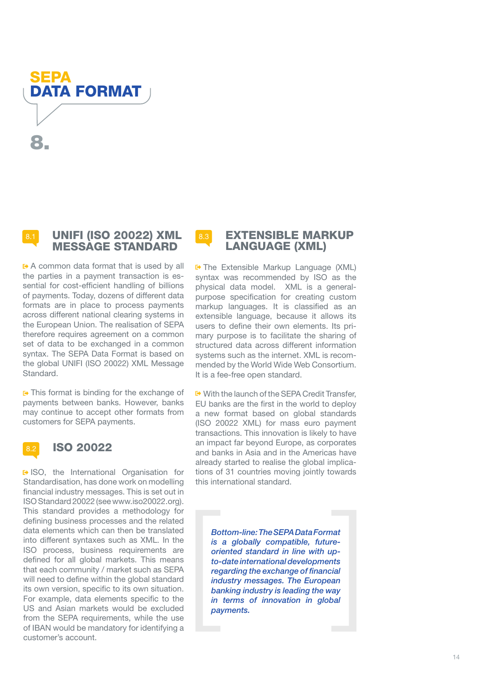<span id="page-13-0"></span>SEPA DATA FORMAT 8.

#### 8.1 UNIFI (ISO 20022) XML MESSAGE STANDARD

 $\rightarrow$  A common data format that is used by all the parties in a payment transaction is essential for cost-efficient handling of billions of payments. Today, dozens of different data formats are in place to process payments across different national clearing systems in the European Union. The realisation of SEPA therefore requires agreement on a common set of data to be exchanged in a common syntax. The SEPA Data Format is based on the global UNIFI (ISO 20022) XML Message Standard.

 $\rightarrow$  This format is binding for the exchange of payments between banks. However, banks may continue to accept other formats from customers for SEPA payments.

#### **ISO 20022**

ISO, the International Organisation for Standardisation, has done work on modelling financial industry messages. This is set out in ISO Standard 20022 (see www.iso20022.org). This standard provides a methodology for defining business processes and the related data elements which can then be translated into different syntaxes such as XML. In the ISO process, business requirements are defined for all global markets. This means that each community / market such as SEPA will need to define within the global standard its own version, specific to its own situation. For example, data elements specific to the US and Asian markets would be excluded from the SEPA requirements, while the use of IBAN would be mandatory for identifying a customer's account.

#### 8.3 **EXTENSIBLE MARKUP** LANGUAGE (XML)

**F** The Extensible Markup Language (XML) syntax was recommended by ISO as the physical data model. XML is a generalpurpose specification for creating custom markup languages. It is classified as an extensible language, because it allows its users to define their own elements. Its primary purpose is to facilitate the sharing of structured data across different information systems such as the internet. XML is recommended by the World Wide Web Consortium. It is a fee-free open standard.

■ With the launch of the SEPA Credit Transfer, EU banks are the first in the world to deploy a new format based on global standards (ISO 20022 XML) for mass euro payment transactions. This innovation is likely to have an impact far beyond Europe, as corporates and banks in Asia and in the Americas have already started to realise the global implications of 31 countries moving jointly towards this international standard.

*Bottom-line: The SEPA Data Format is a globally compatible, futureoriented standard in line with upto-date international developments regarding the exchange of financial industry messages. The European banking industry is leading the way in terms of innovation in global payments.*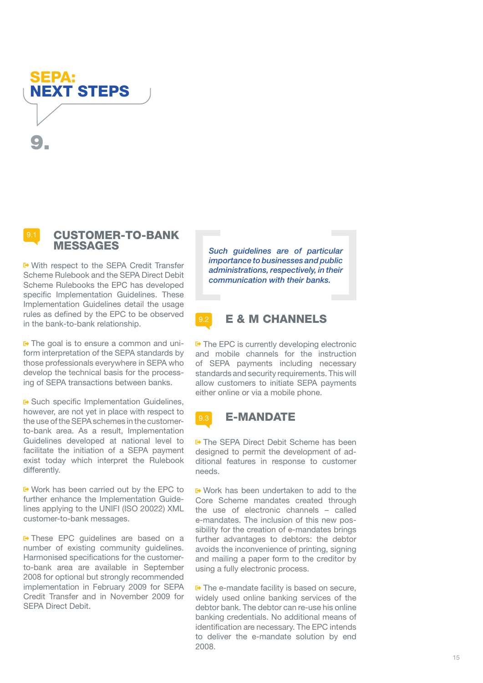<span id="page-14-0"></span>



#### 9.1 CUSTOMER-TO-BANK MESSAGES

With respect to the SEPA Credit Transfer Scheme Rulebook and the SEPA Direct Debit Scheme Rulebooks the EPC has developed specific Implementation Guidelines. These Implementation Guidelines detail the usage rules as defined by the EPC to be observed in the bank-to-bank relationship.

**□** The goal is to ensure a common and uniform interpretation of the SEPA standards by those professionals everywhere in SEPA who develop the technical basis for the processing of SEPA transactions between banks.

**■ Such specific Implementation Guidelines,** however, are not yet in place with respect to the use of the SEPA schemes in the customerto-bank area. As a result, Implementation Guidelines developed at national level to facilitate the initiation of a SEPA payment exist today which interpret the Rulebook differently.

■ Work has been carried out by the EPC to further enhance the Implementation Guidelines applying to the UNIFI (ISO 20022) XML customer-to-bank messages.

**□ These EPC guidelines are based on a** number of existing community guidelines. Harmonised specifications for the customerto-bank area are available in September 2008 for optional but strongly recommended implementation in February 2009 for SEPA Credit Transfer and in November 2009 for SEPA Direct Debit.

*Such guidelines are of particular importance to businesses and public administrations, respectively, in their communication with their banks.*

#### 9.2 E & M CHANNELS

 $E$  The EPC is currently developing electronic and mobile channels for the instruction of SEPA payments including necessary standards and security requirements. This will allow customers to initiate SEPA payments either online or via a mobile phone.



**□ The SEPA Direct Debit Scheme has been** designed to permit the development of additional features in response to customer needs.

■ Work has been undertaken to add to the Core Scheme mandates created through the use of electronic channels – called e-mandates. The inclusion of this new possibility for the creation of e-mandates brings further advantages to debtors: the debtor avoids the inconvenience of printing, signing and mailing a paper form to the creditor by using a fully electronic process.

 $\blacktriangleright$  The e-mandate facility is based on secure, widely used online banking services of the debtor bank. The debtor can re-use his online banking credentials. No additional means of identification are necessary. The EPC intends to deliver the e-mandate solution by end 2008.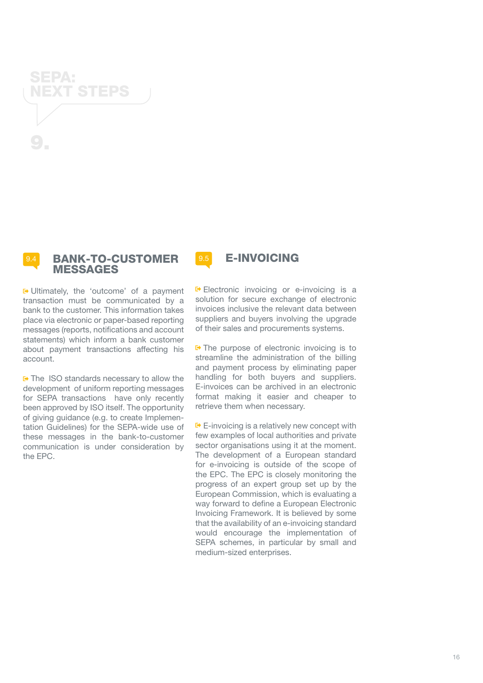<span id="page-15-0"></span>



■ Ultimately, the 'outcome' of a payment transaction must be communicated by a bank to the customer. This information takes place via electronic or paper-based reporting messages (reports, notifications and account statements) which inform a bank customer about payment transactions affecting his account.

**□ The ISO standards necessary to allow the** development of uniform reporting messages for SEPA transactions have only recently been approved by ISO itself. The opportunity of giving guidance (e.g. to create Implementation Guidelines) for the SEPA-wide use of these messages in the bank-to-customer communication is under consideration by the EPC.

9.5 E-INVOICING

E Electronic invoicing or e-invoicing is a solution for secure exchange of electronic invoices inclusive the relevant data between suppliers and buvers involving the upgrade of their sales and procurements systems.

 $F$  The purpose of electronic invoicing is to streamline the administration of the billing and payment process by eliminating paper handling for both buyers and suppliers. E-invoices can be archived in an electronic format making it easier and cheaper to retrieve them when necessary.

 $E$ -invoicing is a relatively new concept with few examples of local authorities and private sector organisations using it at the moment. The development of a European standard for e-invoicing is outside of the scope of the EPC. The EPC is closely monitoring the progress of an expert group set up by the European Commission, which is evaluating a way forward to define a European Electronic Invoicing Framework. It is believed by some that the availability of an e-invoicing standard would encourage the implementation of SEPA schemes, in particular by small and medium-sized enterprises.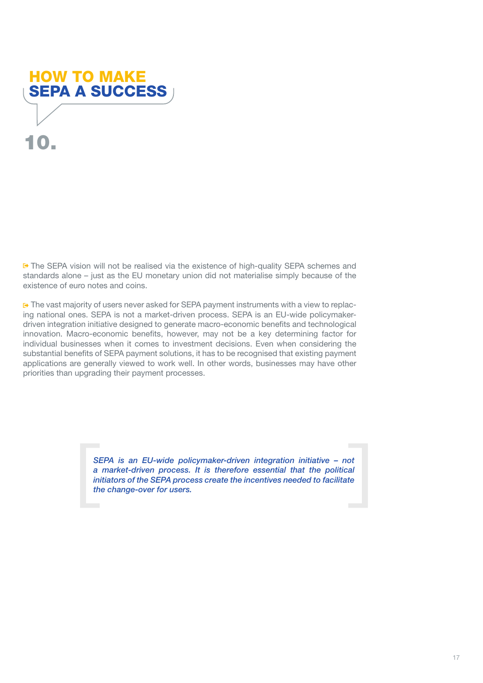# <span id="page-16-0"></span>10. HOW TO MAKE SEPA A SUCCESS

**■** The SEPA vision will not be realised via the existence of high-quality SEPA schemes and standards alone – just as the EU monetary union did not materialise simply because of the existence of euro notes and coins.

 $\rightarrow$  The vast majority of users never asked for SEPA payment instruments with a view to replacing national ones. SEPA is not a market-driven process. SEPA is an EU-wide policymakerdriven integration initiative designed to generate macro-economic benefits and technological innovation. Macro-economic benefits, however, may not be a key determining factor for individual businesses when it comes to investment decisions. Even when considering the substantial benefits of SEPA payment solutions, it has to be recognised that existing payment applications are generally viewed to work well. In other words, businesses may have other priorities than upgrading their payment processes.

> *SEPA is an EU-wide policymaker-driven integration initiative – not a market-driven process. It is therefore essential that the political initiators of the SEPA process create the incentives needed to facilitate the change-over for users.*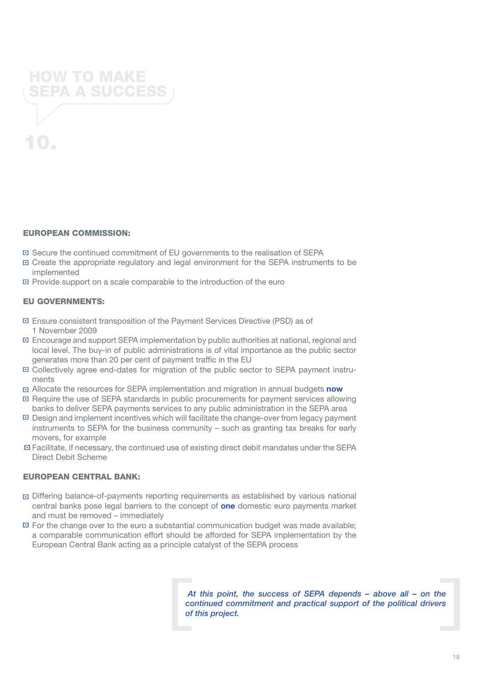

#### EUROPEAN COMMISSION:

- Secure the continued commitment of EU governments to the realisation of SEPA
- Create the appropriate regulatory and legal environment for the SEPA instruments to be implemented
- Provide support on a scale comparable to the introduction of the euro

#### EU GOVERNMENTS:

- Ensure consistent transposition of the Payment Services Directive (PSD) as of 1 November 2009
- Encourage and support SEPA implementation by public authorities at national, regional and local level. The buy-in of public administrations is of vital importance as the public sector generates more than 20 per cent of payment traffic in the EU
- Collectively agree end-dates for migration of the public sector to SEPA payment instruments
- Allocate the resources for SEPA implementation and migration in annual budgets **now**
- Require the use of SEPA standards in public procurements for payment services allowing banks to deliver SEPA payments services to any public administration in the SEPA area
- Design and implement incentives which will facilitate the change-over from legacy payment instruments to SEPA for the business community – such as granting tax breaks for early movers, for example
- Facilitate, if necessary, the continued use of existing direct debit mandates under the SEPA Direct Debit Scheme

#### EUROPEAN CENTRAL BANK:

- Differing balance-of-payments reporting requirements as established by various national central banks pose legal barriers to the concept of **one** domestic euro payments market and must be removed – immediately
- $\Xi$  For the change over to the euro a substantial communication budget was made available; a comparable communication effort should be afforded for SEPA implementation by the European Central Bank acting as a principle catalyst of the SEPA process

*At this point, the success of SEPA depends – above all – on the continued commitment and practical support of the political drivers of this project.*